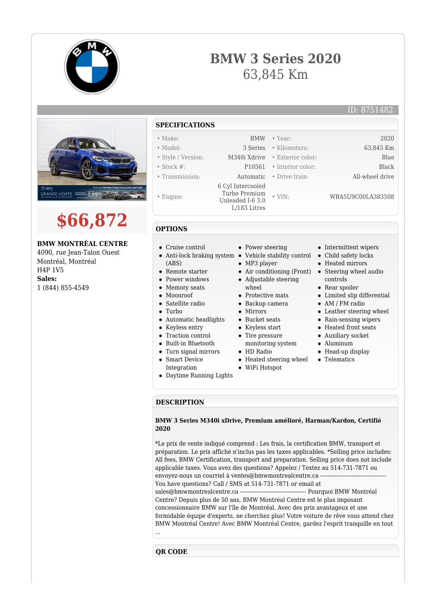

## **BMW 3 Series 2020** 63,845 Km





## **BMW MONTRÉAL CENTRE**

4090, rue Jean-Talon Ouest Montréal, Montréal H4P 1V5 **Sales:** 1 (844) 855-4549

- **SPECIFICATIONS** • Make: BMW • Year: 2020
- 
- 
- 
- Engine:
- 6 Cyl Intercooled

Turbo Premium Unleaded I-6 3.0

L/183 Litres

• Model: 3 Series • Kilometers: 63,845 Km • Style / Version: M340i Xdrive • Exterior color: Blue • Stock #: P10561 • Interior color: Black • Transmission: Automatic • Drive train: All-wheel drive

• VIN: WBA5U9C00LA383508

## **OPTIONS**

- Cruise control
- Anti-lock braking system Vehicle stability control (ABS)
- Remote starter
- Power windows
- Memory seats
- Moonroof
- Satellite radio
- Turbo
- Automatic headlights
- Keyless entry
- Traction control
- Built-in Bluetooth
- Turn signal mirrors
- Smart Device
- Integration
- Daytime Running Lights
- Power steering
- 
- MP3 player
- Air conditioning (Front) Steering wheel audio
- Adjustable steering
- wheel
- Protective mats Backup camera
- Mirrors
- 
- Bucket seats
- Keyless start
- Tire pressure monitoring system
- HD Radio
- Heated steering wheel
- WiFi Hotspot
- 
- Intermittent wipers
- Child safety locks
- Heated mirrors
- controls
- Rear spoiler
- Limited slip differential
- AM / FM radio
- Leather steering wheel
- Rain-sensing wipers
- - Heated front seats
	- Auxiliary socket
	- Aluminum
	- Head-up display
	- Telematics

**DESCRIPTION**

## **BMW 3 Series M340i xDrive, Premium amélioré, Harman/Kardon, Certifié 2020**

\*Le prix de vente indiqué comprend : Les frais, la certification BMW, transport et préparation. Le prix affiché n'inclus pas les taxes applicables. \*Selling price includes: All fees, BMW Certification, transport and preparation. Selling price does not include applicable taxes. Vous avez des questions? Appelez / Textez au 514-731-7871 ou envoyez-nous un courriel à ventes@bmwmontrealcentre.ca ---You have questions? Call / SMS at 514-731-7871 or email at sales@bmwmontrealcentre.ca ------------------------------------ Pourquoi BMW Montréal Centre? Depuis plus de 50 ans, BMW Montréal Centre est le plus imposant concessionnaire BMW sur l'île de Montréal. Avec des prix avantageux et une formidable équipe d'experts, ne cherchez plus! Votre voiture de rêve vous attend chez BMW Montréal Centre! Avec BMW Montréal Centre, gardez l'esprit tranquille en tout

...

**QR CODE**